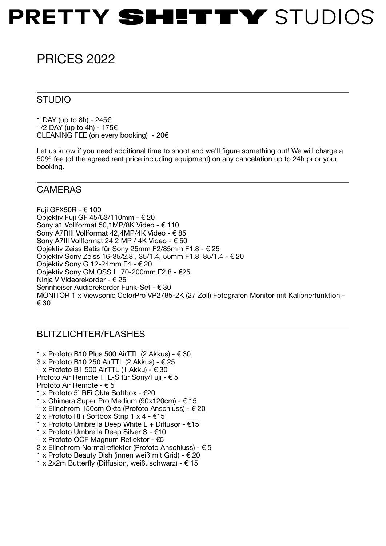## PRETTY SHITTY STUDIOS

### PRICES 2022

#### STUDIO

1 DAY (up to 8h) - 245€ 1/2 DAY (up to 4h) - 175€ CLEANING FEE (on every booking) - 20 $\epsilon$ 

Let us know if you need additional time to shoot and we'll figure something out! We will charge a 50% fee (of the agreed rent price including equipment) on any cancelation up to 24h prior your booking.

#### CAMERAS

Fuji GFX50R -  $€ 100$ Objektiv Fuji GF 45/63/110mm - € 20 Sony a1 Vollformat 50,1MP/8K Video - € 110 Sony A7RIII Vollformat 42,4MP/4K Video - € 85 Sony A7III Vollformat 24,2 MP / 4K Video - € 50 Objektiv Zeiss Batis für Sony 25mm F2/85mm F1.8 - € 25 Objektiv Sony Zeiss 16-35/2.8 , 35/1.4, 55mm F1.8, 85/1.4 - € 20 Objektiv Sony G 12-24mm F4 - € 20 Objektiv Sony GM OSS II 70-200mm F2.8 - €25 Ninja V Videorekorder - € 25 Sennheiser Audiorekorder Funk-Set - € 30 MONITOR 1 x Viewsonic ColorPro VP2785-2K (27 Zoll) Fotografen Monitor mit Kalibrierfunktion - € 30

#### BLITZLICHTER/FLASHES

1 x Profoto B10 Plus 500 AirTTL (2 Akkus) - € 30 3 x Profoto B10 250 AirTTL (2 Akkus) - € 25 1 x Profoto B1 500 AirTTL (1 Akku) - € 30 Profoto Air Remote TTL-S für Sony/Fuji - € 5 Profoto Air Remote - € 5 1 x Profoto 5' RFi Okta Softbox - €20 1 x Chimera Super Pro Medium (90x120cm) - € 15 1 x Elinchrom 150cm Okta (Profoto Anschluss) - € 20 2 x Profoto RFi Softbox Strip 1 x 4 - €15 1 x Profoto Umbrella Deep White L + Diffusor - €15 1 x Profoto Umbrella Deep Silver S - €10 1 x Profoto OCF Magnum Reflektor - €5 2 x Elinchrom Normalreflektor (Profoto Anschluss) - € 5 1 x Profoto Beauty Dish (innen weiß mit Grid) - € 20 1 x 2x2m Butterfly (Diffusion, weiß, schwarz) - € 15